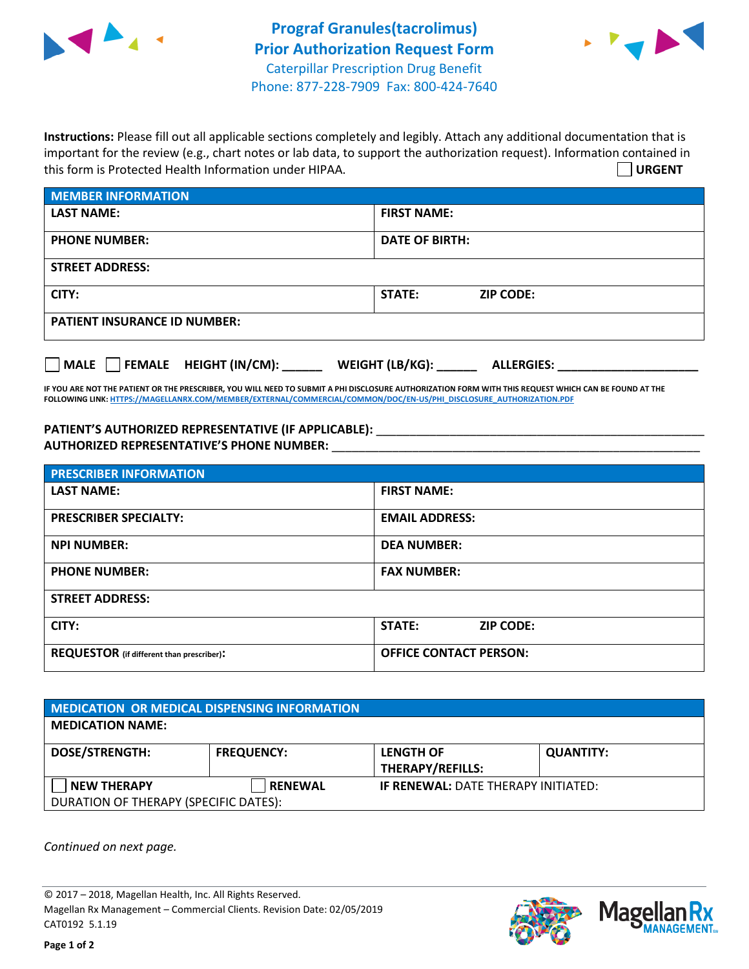



**Instructions:** Please fill out all applicable sections completely and legibly. Attach any additional documentation that is important for the review (e.g., chart notes or lab data, to support the authorization request). Information contained in this form is Protected Health Information under HIPAA. **URGENT**

| <b>MEMBER INFORMATION</b>             |                                      |  |  |  |
|---------------------------------------|--------------------------------------|--|--|--|
| <b>LAST NAME:</b>                     | <b>FIRST NAME:</b>                   |  |  |  |
| <b>PHONE NUMBER:</b>                  | <b>DATE OF BIRTH:</b>                |  |  |  |
| <b>STREET ADDRESS:</b>                |                                      |  |  |  |
| CITY:                                 | STATE:<br><b>ZIP CODE:</b>           |  |  |  |
| <b>PATIENT INSURANCE ID NUMBER:</b>   |                                      |  |  |  |
| FEMALE HEIGHT (IN/CM):<br><b>MALE</b> | WEIGHT (LB/KG):<br><b>ALLERGIES:</b> |  |  |  |

**IF YOU ARE NOT THE PATIENT OR THE PRESCRIBER, YOU WILL NEED TO SUBMIT A PHI DISCLOSURE AUTHORIZATION FORM WITH THIS REQUEST WHICH CAN BE FOUND AT THE FOLLOWING LINK[: HTTPS://MAGELLANRX.COM/MEMBER/EXTERNAL/COMMERCIAL/COMMON/DOC/EN-US/PHI\\_DISCLOSURE\\_AUTHORIZATION.PDF](https://magellanrx.com/member/external/commercial/common/doc/en-us/PHI_Disclosure_Authorization.pdf)**

PATIENT'S AUTHORIZED REPRESENTATIVE (IF APPLICABLE): \_\_\_\_\_\_\_\_\_\_\_\_\_\_\_\_\_\_\_\_\_\_\_\_\_\_\_ **AUTHORIZED REPRESENTATIVE'S PHONE NUMBER:** \_\_\_\_\_\_\_\_\_\_\_\_\_\_\_\_\_\_\_\_\_\_\_\_\_\_\_\_\_\_\_\_\_\_\_\_\_\_\_\_\_\_\_\_\_\_\_\_\_\_\_\_\_\_\_

| <b>PRESCRIBER INFORMATION</b>             |                               |  |  |  |
|-------------------------------------------|-------------------------------|--|--|--|
| <b>LAST NAME:</b>                         | <b>FIRST NAME:</b>            |  |  |  |
| <b>PRESCRIBER SPECIALTY:</b>              | <b>EMAIL ADDRESS:</b>         |  |  |  |
| <b>NPI NUMBER:</b>                        | <b>DEA NUMBER:</b>            |  |  |  |
| <b>PHONE NUMBER:</b>                      | <b>FAX NUMBER:</b>            |  |  |  |
| <b>STREET ADDRESS:</b>                    |                               |  |  |  |
| CITY:                                     | STATE:<br><b>ZIP CODE:</b>    |  |  |  |
| REQUESTOR (if different than prescriber): | <b>OFFICE CONTACT PERSON:</b> |  |  |  |

| <b>MEDICATION OR MEDICAL DISPENSING INFORMATION</b> |                   |                                            |                  |  |  |
|-----------------------------------------------------|-------------------|--------------------------------------------|------------------|--|--|
| <b>MEDICATION NAME:</b>                             |                   |                                            |                  |  |  |
| <b>DOSE/STRENGTH:</b>                               | <b>FREQUENCY:</b> | <b>LENGTH OF</b>                           | <b>QUANTITY:</b> |  |  |
|                                                     |                   | <b>THERAPY/REFILLS:</b>                    |                  |  |  |
| NEW THERAPY                                         | <b>RENEWAL</b>    | <b>IF RENEWAL: DATE THERAPY INITIATED:</b> |                  |  |  |
| DURATION OF THERAPY (SPECIFIC DATES):               |                   |                                            |                  |  |  |

*Continued on next page.*

© 2017 – 2018, Magellan Health, Inc. All Rights Reserved. Magellan Rx Management – Commercial Clients. Revision Date: 02/05/2019 CAT0192 5.1.19